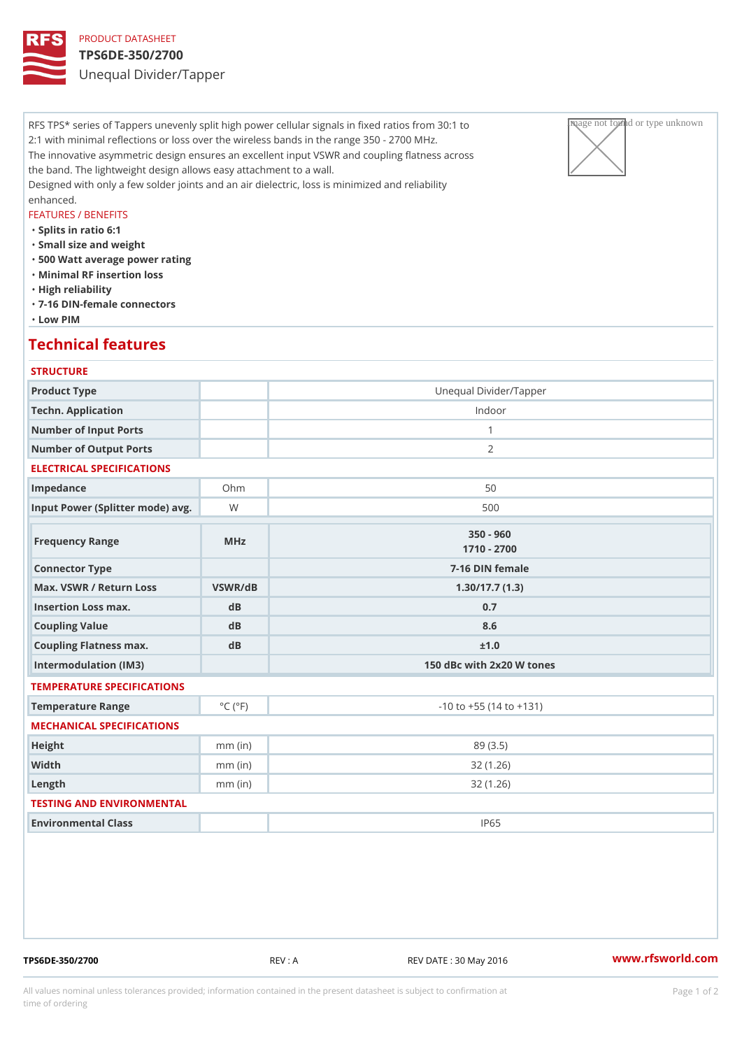### PRODUCT DATASHEET TPS6DE-350/2700 Unequal Divider/Tapper

RFS TPS\* series of Tappers unevenly split high power cellular signals in fixeage pathaged privar unknown to 2:1 with minimal reflections or loss over the wireless bands in the range  $35|0 \searrow 2700$  MHz. The innovative asymmetric design ensures an excellent input VSWR and coupling flatness across the band. The lightweight design allows easy attachment to a wall. Designed with only a few solder joints and an air dielectric, loss is minimized and reliability enhanced.

### FEATURES / BENEFITS

"Splits in ratio 6:1

- "Small size and weight
- "500 Watt average power rating
- "Minimal RF insertion loss
- "High reliability
- "7-16 DIN-female connectors
- "Low PIM

### Technical features

# **STRUCTURE** Product Type Unequal Divider/Tapper Techn. Application **Indoor** Number of Input Ports 1 Number of Output Ports 2 ELECTRICAL SPECIFICATIONS Impedance 50 Input Power (Splitter mode) Wavg. National methods of the state of the state of the state of the state of the state of the state of the state of the state of the state of the state of the state of the state of the state of Frequency Range MHz 350 - 960 1710 - 2700 Connector Type  $\overline{7-16}$  DIN female Max. VSWR / Return LossVSWR/dB 1.30/17.7 (1.3) Insertion Loss max. dB dB 0.7 Coupling Value dB dB 8.6 Coupling Flatness max. dB  $\pm 1.0$ Intermodulation (IM3) 150 dBc with 2x20 W tones TEMPERATURE SPECIFICATIONS Temperature Range  $\begin{array}{c} \circ \text{C} \\ \circ \text{C} \end{array}$   $\begin{array}{c} \circ \text{F} \\ \circ \text{F} \end{array}$   $\begin{array}{c} \circ \text{F} \\ \circ \text{F} \end{array}$   $\begin{array}{c} \circ \text{F} \\ \circ \text{F} \end{array}$ MECHANICAL SPECIFICATIONS Height mm (in) mm (in) 89 (3.5) Width mm (in) 32 (1.26) Length mm (in) 32 (1.26) TESTING AND ENVIRONMENTAL Environmental Class IP65

TPS6DE-350/2700 REV : A REV DATE : 30 May 2016 [www.](https://www.rfsworld.com)rfsworld.com

All values nominal unless tolerances provided; information contained in the present datasheet is subject to Pcapgeign manation time of ordering